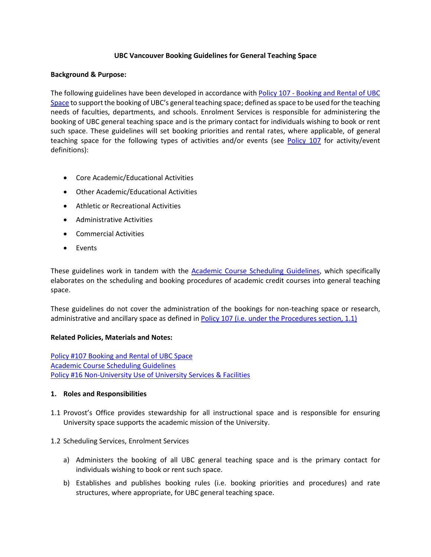### **UBC Vancouver Booking Guidelines for General Teaching Space**

#### **Background & Purpose:**

The following guidelines have been developed in accordance with Policy 107 - [Booking](https://universitycounsel.ubc.ca/files/2015/02/policy107.pdf) and Rental of UBC [Space](https://universitycounsel.ubc.ca/files/2015/02/policy107.pdf) to support the booking of UBC's general teaching space; defined as space to be used for the teaching needs of faculties, departments, and schools. Enrolment Services is responsible for administering the booking of UBC general teaching space and is the primary contact for individuals wishing to book or rent such space. These guidelines will set booking priorities and rental rates, where applicable, of general teaching space for the following types of activities and/or events (see [Policy](https://universitycounsel.ubc.ca/files/2015/02/policy107.pdf) 107 for activity/event definitions):

- Core Academic/Educational Activities
- Other Academic/Educational Activities
- Athletic or Recreational Activities
- Administrative Activities
- Commercial Activities
- Events

These guidelines work in tandem with the [Academic Course Scheduling Guidelines,](https://facultystaff.students.ubc.ca/enrolment-services/student-records-systems-management/scheduling-services/course-scheduling/guidelines) which specifically elaborates on the scheduling and booking procedures of academic credit courses into general teaching space.

These guidelines do not cover the administration of the bookings for non-teaching space or research, administrative and ancillary space as defined in Policy 107 [\(i.e. under the Procedures section, 1.1\)](https://universitycounsel.ubc.ca/files/2015/02/policy107.pdf) 

# **Related Policies, Materials and Notes:**

Policy #107 [Booking](https://universitycounsel.ubc.ca/files/2015/02/policy107.pdf) and Rental of UBC Space [Academic Course Scheduling Guidelines](https://facultystaff.students.ubc.ca/enrolment-services/student-records-systems-management/scheduling-services/course-scheduling/guidelines) Policy #16 [Non-University](https://universitycounsel.ubc.ca/files/2010/08/policy16.pdf) Use of University Services & Facilities

# **1. Roles and Responsibilities**

- 1.1 Provost's Office provides stewardship for all instructional space and is responsible for ensuring University space supports the academic mission of the University.
- 1.2 Scheduling Services, Enrolment Services
	- a) Administers the booking of all UBC general teaching space and is the primary contact for individuals wishing to book or rent such space.
	- b) Establishes and publishes booking rules (i.e. booking priorities and procedures) and rate structures, where appropriate, for UBC general teaching space.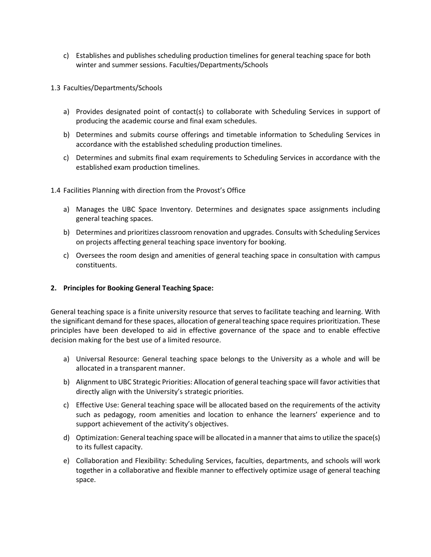- c) Establishes and publishes scheduling production timelines for general teaching space for both winter and summer sessions. Faculties/Departments/Schools
- 1.3 Faculties/Departments/Schools
	- a) Provides designated point of contact(s) to collaborate with Scheduling Services in support of producing the academic course and final exam schedules.
	- b) Determines and submits course offerings and timetable information to Scheduling Services in accordance with the established scheduling production timelines.
	- c) Determines and submits final exam requirements to Scheduling Services in accordance with the established exam production timelines.
- 1.4 Facilities Planning with direction from the Provost's Office
	- a) Manages the UBC Space Inventory. Determines and designates space assignments including general teaching spaces.
	- b) Determines and prioritizes classroom renovation and upgrades. Consults with Scheduling Services on projects affecting general teaching space inventory for booking.
	- c) Oversees the room design and amenities of general teaching space in consultation with campus constituents.

# **2. Principles for Booking General Teaching Space:**

General teaching space is a finite university resource that serves to facilitate teaching and learning. With the significant demand forthese spaces, allocation of general teaching space requires prioritization. These principles have been developed to aid in effective governance of the space and to enable effective decision making for the best use of a limited resource.

- a) Universal Resource: General teaching space belongs to the University as a whole and will be allocated in a transparent manner.
- b) Alignment to UBC Strategic Priorities: Allocation of general teaching space will favor activities that directly align with the University's strategic priorities.
- c) Effective Use: General teaching space will be allocated based on the requirements of the activity such as pedagogy, room amenities and location to enhance the learners' experience and to support achievement of the activity's objectives.
- d) Optimization: General teaching space will be allocated in a manner that aimsto utilize the space(s) to its fullest capacity.
- e) Collaboration and Flexibility: Scheduling Services, faculties, departments, and schools will work together in a collaborative and flexible manner to effectively optimize usage of general teaching space.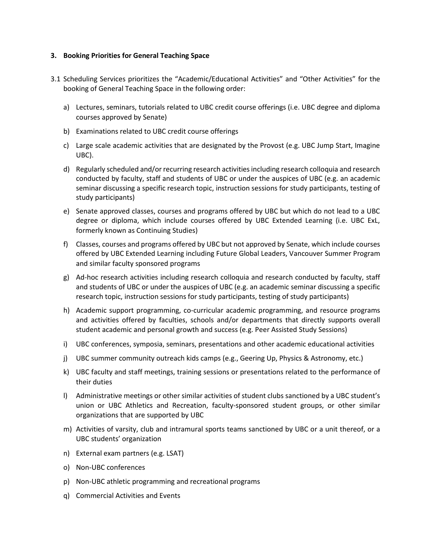# **3. Booking Priorities for General Teaching Space**

- 3.1 Scheduling Services prioritizes the "Academic/Educational Activities" and "Other Activities" for the booking of General Teaching Space in the following order:
	- a) Lectures, seminars, tutorials related to UBC credit course offerings (i.e. UBC degree and diploma courses approved by Senate)
	- b) Examinations related to UBC credit course offerings
	- c) Large scale academic activities that are designated by the Provost (e.g. UBC Jump Start, Imagine UBC).
	- d) Regularly scheduled and/or recurring research activities including research colloquia and research conducted by faculty, staff and students of UBC or under the auspices of UBC (e.g. an academic seminar discussing a specific research topic, instruction sessions for study participants, testing of study participants)
	- e) Senate approved classes, courses and programs offered by UBC but which do not lead to a UBC degree or diploma, which include courses offered by UBC Extended Learning (i.e. UBC ExL, formerly known as Continuing Studies)
	- f) Classes, courses and programs offered by UBC but not approved by Senate, which include courses offered by UBC Extended Learning including Future Global Leaders, Vancouver Summer Program and similar faculty sponsored programs
	- g) Ad-hoc research activities including research colloquia and research conducted by faculty, staff and students of UBC or under the auspices of UBC (e.g. an academic seminar discussing a specific research topic, instruction sessions for study participants, testing of study participants)
	- h) Academic support programming, co-curricular academic programming, and resource programs and activities offered by faculties, schools and/or departments that directly supports overall student academic and personal growth and success (e.g. Peer Assisted Study Sessions)
	- i) UBC conferences, symposia, seminars, presentations and other academic educational activities
	- j) UBC summer community outreach kids camps (e.g., Geering Up, Physics & Astronomy, etc.)
	- k) UBC faculty and staff meetings, training sessions or presentations related to the performance of their duties
	- l) Administrative meetings or other similar activities of student clubs sanctioned by a UBC student's union or UBC Athletics and Recreation, faculty-sponsored student groups, or other similar organizations that are supported by UBC
	- m) Activities of varsity, club and intramural sports teams sanctioned by UBC or a unit thereof, or a UBC students' organization
	- n) External exam partners (e.g. LSAT)
	- o) Non-UBC conferences
	- p) Non-UBC athletic programming and recreational programs
	- q) Commercial Activities and Events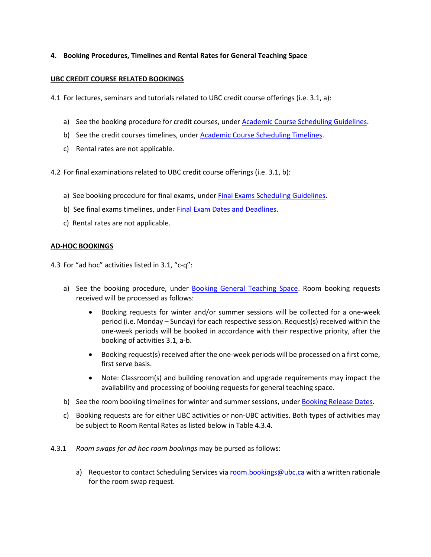# **4. Booking Procedures, Timelines and Rental Rates for General Teaching Space**

# **UBC CREDIT COURSE RELATED BOOKINGS**

4.1 For lectures, seminars and tutorials related to UBC credit course offerings (i.e. 3.1, a):

- a) See the booking procedure for credit courses, under [Academic Course Scheduling Guidelines.](https://facultystaff.students.ubc.ca/enrolment-services/student-records-systems-management/scheduling-services/course-scheduling/guidelines)
- b) See the credit courses timelines, under **Academic Course [Scheduling](https://facultystaff.students.ubc.ca/enrolment-services/student-records-systems-management/scheduling-services/course-scheduling/course-scheduling-timelines) Timelines**.
- c) Rental rates are not applicable.

4.2 For final examinations related to UBC credit course offerings (i.e. 3.1, b):

- a) See booking procedure for final exams, under **Final Exams Scheduling Guidelines**.
- b) See final exams timelines, under Final Exam [Dates and Deadlines.](https://facultystaff.students.ubc.ca/enrolment-services/student-records-systems-management/scheduling-services/exam-scheduling/exam-dates)
- c) Rental rates are not applicable.

# **AD-HOC BOOKINGS**

4.3 For "ad hoc" activities listed in 3.1, "c-q":

- a) See the booking procedure, under **Booking General Teaching Space**. Room booking requests received will be processed as follows:
	- Booking requests for winter and/or summer sessions will be collected for a one-week period (i.e. Monday – Sunday) for each respective session. Request(s) received within the one-week periods will be booked in accordance with their respective priority, after the booking of activities 3.1, a-b.
	- Booking request(s) received after the one-week periods will be processed on a first come, first serve basis.
	- Note: Classroom(s) and building renovation and upgrade requirements may impact the availability and processing of booking requests for general teaching space.
- b) See the room booking timelines for winter and summer sessions, under [Booking](https://facultystaff.students.ubc.ca/enrolment-services/student-records-systems-management/scheduling-services/room-booking-requests-general-teaching-space/bookings-ubc-stafffaculty#booking-release-dates) Release Dates.
- c) Booking requests are for either UBC activities or non-UBC activities. Both types of activities may be subject to Room Rental Rates as listed below in Table 4.3.4.
- 4.3.1 *Room swaps for ad hoc room bookings* may be pursed as follows:
	- a) Requestor to contact Scheduling Services vi[a room.bookings@ubc.ca](mailto:mroom.bookings@ubc.ca) with a written rationale for the room swap request.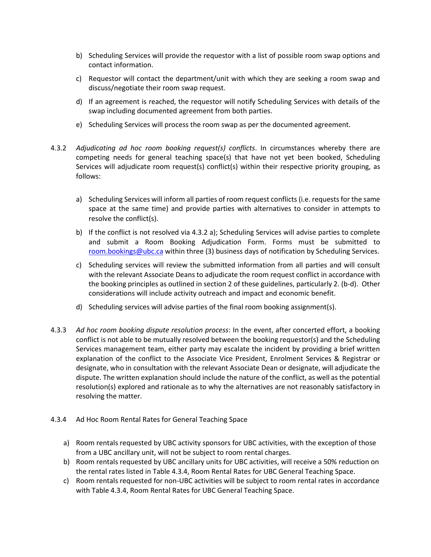- b) Scheduling Services will provide the requestor with a list of possible room swap options and contact information.
- c) Requestor will contact the department/unit with which they are seeking a room swap and discuss/negotiate their room swap request.
- d) If an agreement is reached, the requestor will notify Scheduling Services with details of the swap including documented agreement from both parties.
- e) Scheduling Services will process the room swap as per the documented agreement.
- 4.3.2 *Adjudicating ad hoc room booking request(s) conflicts*. In circumstances whereby there are competing needs for general teaching space(s) that have not yet been booked, Scheduling Services will adjudicate room request(s) conflict(s) within their respective priority grouping, as follows:
	- a) Scheduling Services will inform all parties of room request conflicts (i.e. requests for the same space at the same time) and provide parties with alternatives to consider in attempts to resolve the conflict(s).
	- b) If the conflict is not resolved via 4.3.2 a); Scheduling Services will advise parties to complete and submit a Room Booking Adjudication Form. Forms must be submitted to [room.bookings@ubc.ca](mailto:mroom.bookings@ubc.ca) within three (3) business days of notification by Scheduling Services.
	- c) Scheduling services will review the submitted information from all parties and will consult with the relevant Associate Deans to adjudicate the room request conflict in accordance with the booking principles as outlined in section 2 of these guidelines, particularly 2. (b-d). Other considerations will include activity outreach and impact and economic benefit.
	- d) Scheduling services will advise parties of the final room booking assignment(s).
- 4.3.3 *Ad hoc room booking dispute resolution process*: In the event, after concerted effort, a booking conflict is not able to be mutually resolved between the booking requestor(s) and the Scheduling Services management team, either party may escalate the incident by providing a brief written explanation of the conflict to the Associate Vice President, Enrolment Services & Registrar or designate, who in consultation with the relevant Associate Dean or designate, will adjudicate the dispute. The written explanation should include the nature of the conflict, as well as the potential resolution(s) explored and rationale as to why the alternatives are not reasonably satisfactory in resolving the matter.
- 4.3.4 Ad Hoc Room Rental Rates for General Teaching Space
	- a) Room rentals requested by UBC activity sponsors for UBC activities, with the exception of those from a UBC ancillary unit, will not be subject to room rental charges.
	- b) Room rentals requested by UBC ancillary units for UBC activities, will receive a 50% reduction on the rental rates listed in Table 4.3.4, Room Rental Rates for UBC General Teaching Space.
	- c) Room rentals requested for non-UBC activities will be subject to room rental rates in accordance with Table 4.3.4, Room Rental Rates for UBC General Teaching Space.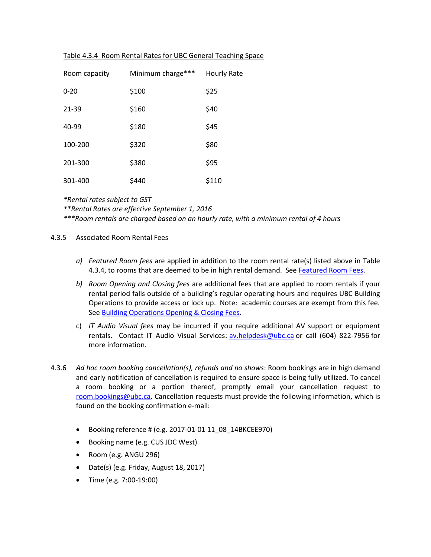|  |  | Table 4.3.4 Room Rental Rates for UBC General Teaching Space |  |
|--|--|--------------------------------------------------------------|--|
|  |  |                                                              |  |

| Room capacity | Minimum charge*** | <b>Hourly Rate</b> |
|---------------|-------------------|--------------------|
| $0 - 20$      | \$100             | \$25               |
| 21-39         | \$160             | \$40               |
| 40-99         | \$180             | \$45               |
| 100-200       | \$320             | \$80               |
| 201-300       | \$380             | \$95               |
| 301-400       | \$440             | \$110              |

*\*Rental rates subject to GST*

*\*\*Rental Rates are effective September 1, 2016*

*\*\*\*Room rentals are charged based on an hourly rate, with a minimum rental of 4 hours*

- 4.3.5 Associated Room Rental Fees
	- *a) Featured Room fees* are applied in addition to the room rental rate(s) listed above in Table 4.3.4, to rooms that are deemed to be in high rental demand. See [Featured Room Fees.](https://facultystaff.students.ubc.ca/enrolment-services/student-records-systems-management/scheduling-services/room-booking-requests-general-teaching-space/non-ubc-individualsgroups-bookings#room-rental-rates)
	- *b) Room Opening and Closing fees* are additional fees that are applied to room rentals if your rental period falls outside of a building's regular operating hours and requires UBC Building Operations to provide access or lock up. Note: academic courses are exempt from this fee. Se[e Building Operations Opening & Closing Fees.](https://facultystaff.students.ubc.ca/enrolment-services/student-records-systems-management/scheduling-services/room-booking-requests-general-teaching-space/non-ubc-individualsgroups-bookings#building-operations-opening-and-closing-fees)
	- c) *IT Audio Visual fees* may be incurred if you require additional AV support or equipment rentals. Contact IT Audio Visual Services: [av.helpdesk@ubc.ca](mailto:av.helpdesk@ubc.ca) or call (604) 822-7956 for more information.
- 4.3.6 *Ad hoc room booking cancellation(s), refunds and no shows*: Room bookings are in high demand and early notification of cancellation is required to ensure space is being fully utilized. To cancel a room booking or a portion thereof, promptly email your cancellation request to [room.bookings@ubc.ca.](mailto:room.bookings@ubc.ca) Cancellation requests must provide the following information, which is found on the booking confirmation e-mail:
	- Booking reference # (e.g. 2017-01-01 11\_08\_14BKCEE970)
	- Booking name (e.g. CUS JDC West)
	- Room (e.g. ANGU 296)
	- Date(s) (e.g. Friday, August 18, 2017)
	- Time (e.g. 7:00-19:00)